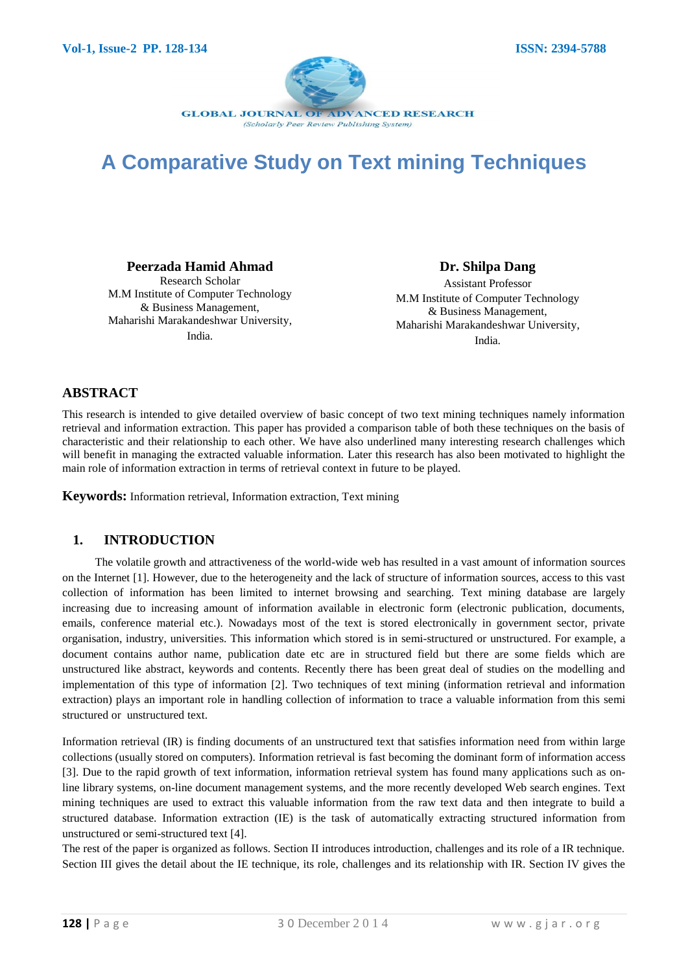

# **A Comparative Study on Text mining Techniques**

#### **Peerzada Hamid Ahmad**

Research Scholar M.M Institute of Computer Technology & Business Management, Maharishi Marakandeshwar University, India.

**Dr. Shilpa Dang**

Assistant Professor M.M Institute of Computer Technology & Business Management, Maharishi Marakandeshwar University, India.

# **ABSTRACT**

This research is intended to give detailed overview of basic concept of two text mining techniques namely information retrieval and information extraction. This paper has provided a comparison table of both these techniques on the basis of characteristic and their relationship to each other. We have also underlined many interesting research challenges which will benefit in managing the extracted valuable information. Later this research has also been motivated to highlight the main role of information extraction in terms of retrieval context in future to be played.

**Keywords:** Information retrieval, Information extraction, Text mining

#### **1. INTRODUCTION**

The volatile growth and attractiveness of the world-wide web has resulted in a vast amount of information sources on the Internet [1]. However, due to the heterogeneity and the lack of structure of information sources, access to this vast collection of information has been limited to internet browsing and searching. Text mining database are largely increasing due to increasing amount of information available in electronic form (electronic publication, documents, emails, conference material etc.). Nowadays most of the text is stored electronically in government sector, private organisation, industry, universities. This information which stored is in semi-structured or unstructured. For example, a document contains author name, publication date etc are in structured field but there are some fields which are unstructured like abstract, keywords and contents. Recently there has been great deal of studies on the modelling and implementation of this type of information [2]. Two techniques of text mining (information retrieval and information extraction) plays an important role in handling collection of information to trace a valuable information from this semi structured or unstructured text.

Information retrieval (IR) is finding documents of an unstructured text that satisfies information need from within large collections (usually stored on computers). Information retrieval is fast becoming the dominant form of information access [3]. Due to the rapid growth of text information, information retrieval system has found many applications such as online library systems, on-line document management systems, and the more recently developed Web search engines. Text mining techniques are used to extract this valuable information from the raw text data and then integrate to build a structured database. Information extraction (IE) is the task of automatically extracting structured information from unstructured or semi-structured text [4].

The rest of the paper is organized as follows. Section II introduces introduction, challenges and its role of a IR technique. Section III gives the detail about the IE technique, its role, challenges and its relationship with IR. Section IV gives the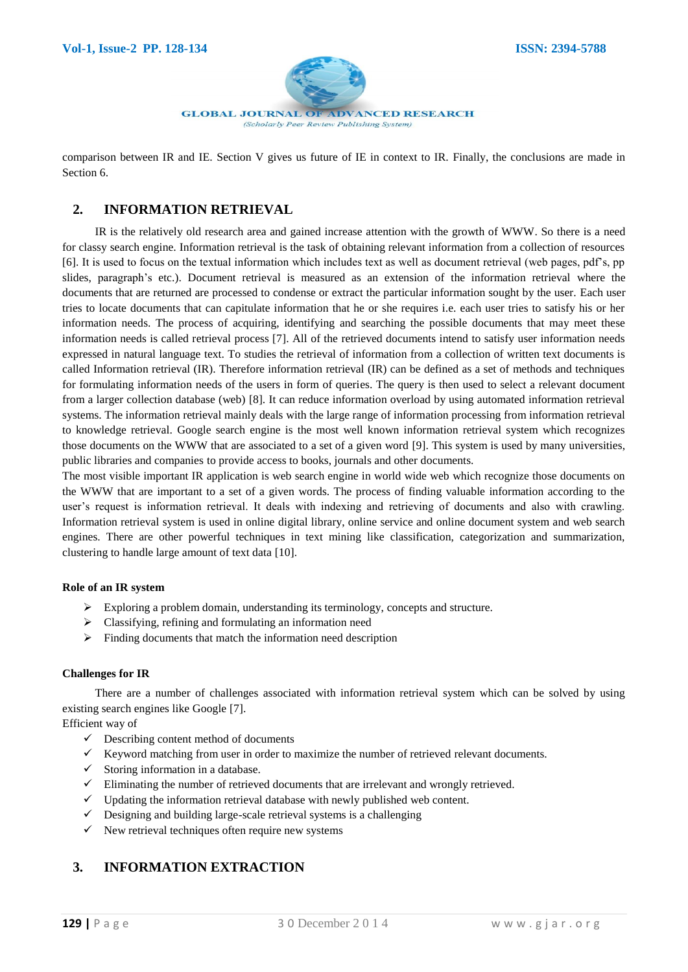

comparison between IR and IE. Section V gives us future of IE in context to IR. Finally, the conclusions are made in Section 6.

### **2. INFORMATION RETRIEVAL**

IR is the relatively old research area and gained increase attention with the growth of WWW. So there is a need for classy search engine. Information retrieval is the task of obtaining relevant information from a collection of resources [6]. It is used to focus on the textual information which includes text as well as document retrieval (web pages, pdf's, pp slides, paragraph's etc.). Document retrieval is measured as an extension of the information retrieval where the documents that are returned are processed to condense or extract the particular information sought by the user. Each user tries to locate documents that can capitulate information that he or she requires i.e. each user tries to satisfy his or her information needs. The process of acquiring, identifying and searching the possible documents that may meet these information needs is called retrieval process [7]. All of the retrieved documents intend to satisfy user information needs expressed in natural language text. To studies the retrieval of information from a collection of written text documents is called Information retrieval (IR). Therefore information retrieval (IR) can be defined as a set of methods and techniques for formulating information needs of the users in form of queries. The query is then used to select a relevant document from a larger collection database (web) [8]. It can reduce information overload by using automated information retrieval systems. The information retrieval mainly deals with the large range of information processing from information retrieval to knowledge retrieval. Google search engine is the most well known information retrieval system which recognizes those documents on the WWW that are associated to a set of a given word [9]. This system is used by many universities, public libraries and companies to provide access to books, journals and other documents.

The most visible important IR application is web search engine in world wide web which recognize those documents on the WWW that are important to a set of a given words. The process of finding valuable information according to the user's request is information retrieval. It deals with indexing and retrieving of documents and also with crawling. Information retrieval system is used in online digital library, online service and online document system and web search engines. There are other powerful techniques in text mining like classification, categorization and summarization, clustering to handle large amount of text data [10].

#### **Role of an IR system**

- $\triangleright$  Exploring a problem domain, understanding its terminology, concepts and structure.
- $\triangleright$  Classifying, refining and formulating an information need
- $\triangleright$  Finding documents that match the information need description

#### **Challenges for IR**

There are a number of challenges associated with information retrieval system which can be solved by using existing search engines like Google [7].

Efficient way of

- $\checkmark$  Describing content method of documents
- $\checkmark$  Keyword matching from user in order to maximize the number of retrieved relevant documents.
- $\checkmark$  Storing information in a database.
- $\checkmark$  Eliminating the number of retrieved documents that are irrelevant and wrongly retrieved.
- $\checkmark$  Updating the information retrieval database with newly published web content.
- $\checkmark$  Designing and building large-scale retrieval systems is a challenging
- $\checkmark$  New retrieval techniques often require new systems

# **3. INFORMATION EXTRACTION**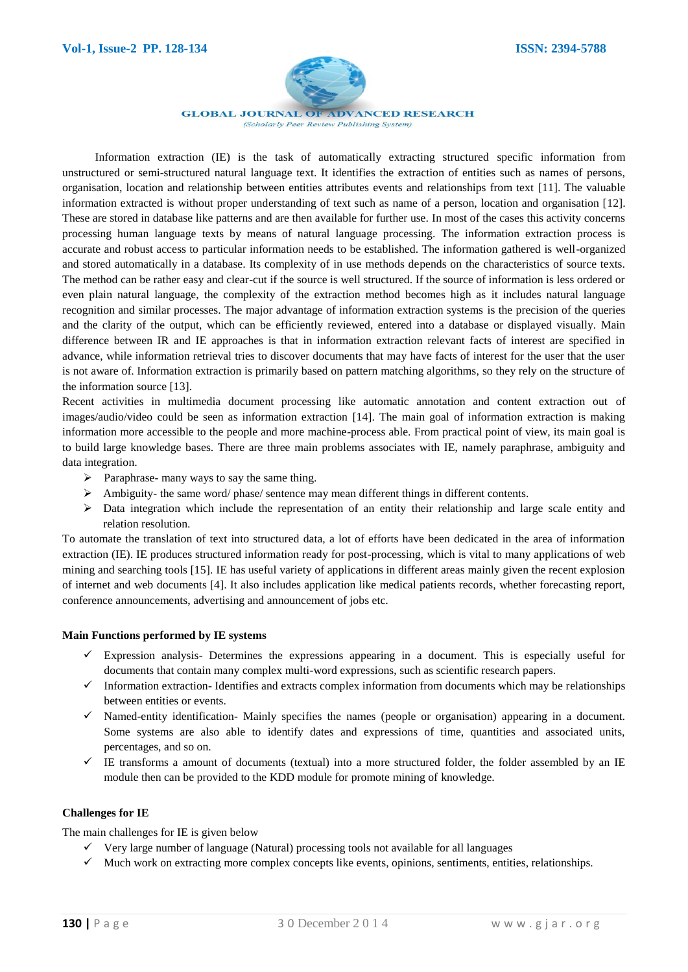

**GLOBAL JOURNAL OF ADVANCED RESEARCH** 

(Scholarly Peer Review Publishing System)

Information extraction (IE) is the task of automatically extracting structured specific information from unstructured or semi-structured natural language text. It identifies the extraction of entities such as names of persons, organisation, location and relationship between entities attributes events and relationships from text [11]. The valuable information extracted is without proper understanding of text such as name of a person, location and organisation [12]. These are stored in database like patterns and are then available for further use. In most of the cases this activity concerns processing human language texts by means of natural language processing. The information extraction process is accurate and robust access to particular information needs to be established. The information gathered is well-organized and stored automatically in a database. Its complexity of in use methods depends on the characteristics of source texts. The method can be rather easy and clear-cut if the source is well structured. If the source of information is less ordered or even plain natural language, the complexity of the extraction method becomes high as it includes natural language recognition and similar processes. The major advantage of information extraction systems is the precision of the queries and the clarity of the output, which can be efficiently reviewed, entered into a database or displayed visually. Main difference between IR and IE approaches is that in information extraction relevant facts of interest are specified in advance, while information retrieval tries to discover documents that may have facts of interest for the user that the user is not aware of. Information extraction is primarily based on pattern matching algorithms, so they rely on the structure of the information source [13].

Recent activities in multimedia document processing like automatic annotation and content extraction out of images/audio/video could be seen as information extraction [14]. The main goal of information extraction is making information more accessible to the people and more machine-process able. From practical point of view, its main goal is to build large knowledge bases. There are three main problems associates with IE, namely paraphrase, ambiguity and data integration.

- $\triangleright$  Paraphrase- many ways to say the same thing.
- $\triangleright$  Ambiguity- the same word/ phase/ sentence may mean different things in different contents.
- $\triangleright$  Data integration which include the representation of an entity their relationship and large scale entity and relation resolution.

To automate the translation of text into structured data, a lot of efforts have been dedicated in the area of information extraction (IE). IE produces structured information ready for post-processing, which is vital to many applications of web mining and searching tools [15]. IE has useful variety of applications in different areas mainly given the recent explosion of internet and web documents [4]. It also includes application like medical patients records, whether forecasting report, conference announcements, advertising and announcement of jobs etc.

#### **Main Functions performed by IE systems**

- $\checkmark$  Expression analysis- Determines the expressions appearing in a document. This is especially useful for documents that contain many complex multi-word expressions, such as scientific research papers.
- $\checkmark$  Information extraction- Identifies and extracts complex information from documents which may be relationships between entities or events.
- $\checkmark$  Named-entity identification- Mainly specifies the names (people or organisation) appearing in a document. Some systems are also able to identify dates and expressions of time, quantities and associated units, percentages, and so on.
- $\checkmark$  IE transforms a amount of documents (textual) into a more structured folder, the folder assembled by an IE module then can be provided to the KDD module for promote mining of knowledge.

#### **Challenges for IE**

The main challenges for IE is given below

- $\checkmark$  Very large number of language (Natural) processing tools not available for all languages
- $\checkmark$  Much work on extracting more complex concepts like events, opinions, sentiments, entities, relationships.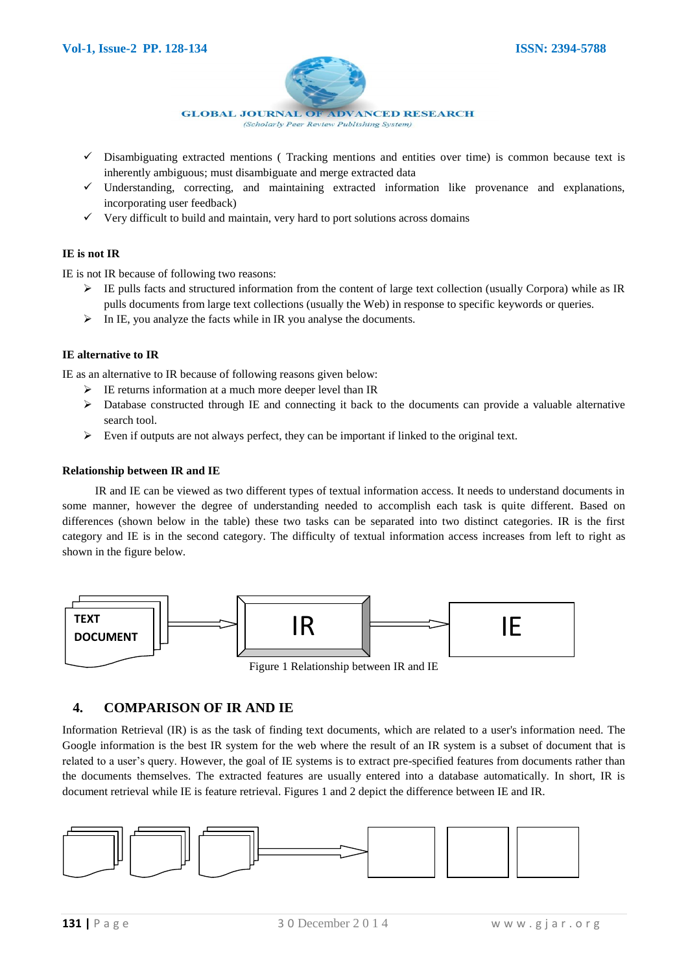

- $\checkmark$  Disambiguating extracted mentions (Tracking mentions and entities over time) is common because text is inherently ambiguous; must disambiguate and merge extracted data
- $\checkmark$  Understanding, correcting, and maintaining extracted information like provenance and explanations, incorporating user feedback)
- $\checkmark$  Very difficult to build and maintain, very hard to port solutions across domains

#### **IE is not IR**

IE is not IR because of following two reasons:

- $\triangleright$  IE pulls facts and structured information from the content of large text collection (usually Corpora) while as IR pulls documents from large text collections (usually the Web) in response to specific keywords or queries.
- $\triangleright$  In IE, you analyze the facts while in IR you analyse the documents.

#### **IE alternative to IR**

IE as an alternative to IR because of following reasons given below:

- $\triangleright$  IE returns information at a much more deeper level than IR
- $\triangleright$  Database constructed through IE and connecting it back to the documents can provide a valuable alternative search tool.
- $\triangleright$  Even if outputs are not always perfect, they can be important if linked to the original text.

#### **Relationship between IR and IE**

IR and IE can be viewed as two different types of textual information access. It needs to understand documents in some manner, however the degree of understanding needed to accomplish each task is quite different. Based on differences (shown below in the table) these two tasks can be separated into two distinct categories. IR is the first category and IE is in the second category. The difficulty of textual information access increases from left to right as shown in the figure below.



# **4. COMPARISON OF IR AND IE**

Information Retrieval (IR) is as the task of finding text documents, which are related to a user's information need. The Google information is the best IR system for the web where the result of an IR system is a subset of document that is related to a user's query. However, the goal of IE systems is to extract pre-specified features from documents rather than the documents themselves. The extracted features are usually entered into a database automatically. In short, IR is document retrieval while IE is feature retrieval. Figures 1 and 2 depict the difference between IE and IR.

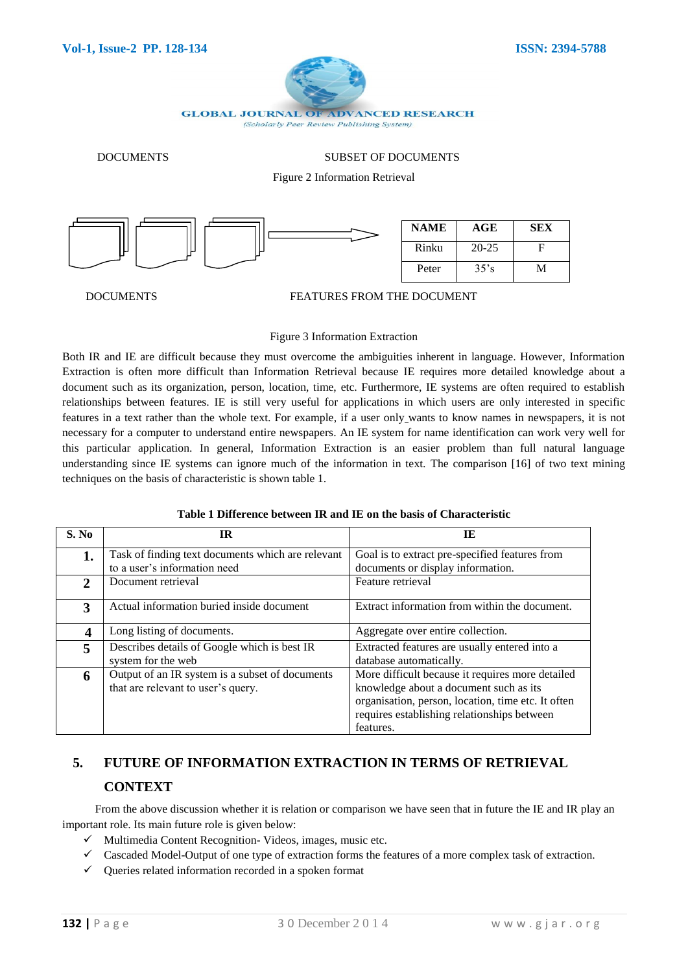

DOCUMENTS SUBSET OF DOCUMENTS

Figure 2 Information Retrieval



#### DOCUMENTS FEATURES FROM THE DOCUMENT

#### Figure 3 Information Extraction

Both IR and IE are difficult because they must overcome the ambiguities inherent in language. However, Information Extraction is often more difficult than Information Retrieval because IE requires more detailed knowledge about a document such as its organization, person, location, time, etc. Furthermore, IE systems are often required to establish relationships between features. IE is still very useful for applications in which users are only interested in specific features in a text rather than the whole text. For example, if a user only wants to know names in newspapers, it is not necessary for a computer to understand entire newspapers. An IE system for name identification can work very well for this particular application. In general, Information Extraction is an easier problem than full natural language understanding since IE systems can ignore much of the information in text. The comparison [16] of two text mining techniques on the basis of characteristic is shown table 1.

#### **Table 1 Difference between IR and IE on the basis of Characteristic**

| S. No        | IR                                                                                    | IE                                                                                                                                                                                                           |
|--------------|---------------------------------------------------------------------------------------|--------------------------------------------------------------------------------------------------------------------------------------------------------------------------------------------------------------|
| 1.           | Task of finding text documents which are relevant<br>to a user's information need     | Goal is to extract pre-specified features from<br>documents or display information.                                                                                                                          |
| $\mathbf{2}$ | Document retrieval                                                                    | Feature retrieval                                                                                                                                                                                            |
| 3            | Actual information buried inside document                                             | Extract information from within the document.                                                                                                                                                                |
| 4            | Long listing of documents.                                                            | Aggregate over entire collection.                                                                                                                                                                            |
| 5            | Describes details of Google which is best IR<br>system for the web                    | Extracted features are usually entered into a<br>database automatically.                                                                                                                                     |
| 6            | Output of an IR system is a subset of documents<br>that are relevant to user's query. | More difficult because it requires more detailed<br>knowledge about a document such as its<br>organisation, person, location, time etc. It often<br>requires establishing relationships between<br>features. |

# **5. FUTURE OF INFORMATION EXTRACTION IN TERMS OF RETRIEVAL CONTEXT**

From the above discussion whether it is relation or comparison we have seen that in future the IE and IR play an important role. Its main future role is given below:

- $\checkmark$  Multimedia Content Recognition-Videos, images, music etc.
- $\checkmark$  Cascaded Model-Output of one type of extraction forms the features of a more complex task of extraction.
- $\checkmark$  Queries related information recorded in a spoken format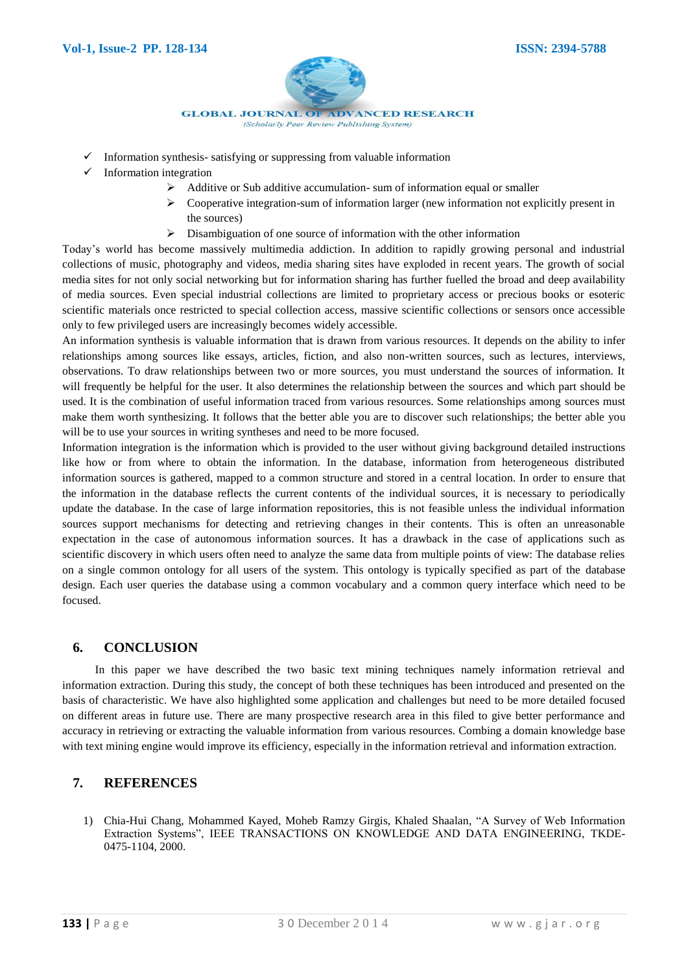

- $\checkmark$  Information synthesis- satisfying or suppressing from valuable information
- $\checkmark$  Information integration
	- Additive or Sub additive accumulation- sum of information equal or smaller
	- Cooperative integration-sum of information larger (new information not explicitly present in the sources)
	- $\triangleright$  Disambiguation of one source of information with the other information

Today's world has become massively multimedia addiction. In addition to rapidly growing personal and industrial collections of music, photography and videos, media sharing sites have exploded in recent years. The growth of social media sites for not only social networking but for information sharing has further fuelled the broad and deep availability of media sources. Even special industrial collections are limited to proprietary access or precious books or esoteric scientific materials once restricted to special collection access, massive scientific collections or sensors once accessible only to few privileged users are increasingly becomes widely accessible.

An information synthesis is valuable information that is drawn from various resources. It depends on the ability to infer relationships among sources like essays, articles, fiction, and also non-written sources, such as lectures, interviews, observations. To draw relationships between two or more sources, you must understand the sources of information. It will frequently be helpful for the user. It also determines the relationship between the sources and which part should be used. It is the combination of useful information traced from various resources. Some relationships among sources must make them worth synthesizing. It follows that the better able you are to discover such relationships; the better able you will be to use your sources in writing syntheses and need to be more focused.

Information integration is the information which is provided to the user without giving background detailed instructions like how or from where to obtain the information. In the database, information from heterogeneous distributed information sources is gathered, mapped to a common structure and stored in a central location. In order to ensure that the information in the database reflects the current contents of the individual sources, it is necessary to periodically update the database. In the case of large information repositories, this is not feasible unless the individual information sources support mechanisms for detecting and retrieving changes in their contents. This is often an unreasonable expectation in the case of autonomous information sources. It has a drawback in the case of applications such as scientific discovery in which users often need to analyze the same data from multiple points of view: The database relies on a single common ontology for all users of the system. This ontology is typically specified as part of the database design. Each user queries the database using a common vocabulary and a common query interface which need to be focused.

# **6. CONCLUSION**

In this paper we have described the two basic text mining techniques namely information retrieval and information extraction. During this study, the concept of both these techniques has been introduced and presented on the basis of characteristic. We have also highlighted some application and challenges but need to be more detailed focused on different areas in future use. There are many prospective research area in this filed to give better performance and accuracy in retrieving or extracting the valuable information from various resources. Combing a domain knowledge base with text mining engine would improve its efficiency, especially in the information retrieval and information extraction.

# **7. REFERENCES**

1) Chia-Hui Chang, Mohammed Kayed, Moheb Ramzy Girgis, Khaled Shaalan, "A Survey of Web Information Extraction Systems", IEEE TRANSACTIONS ON KNOWLEDGE AND DATA ENGINEERING, TKDE-0475-1104, 2000.